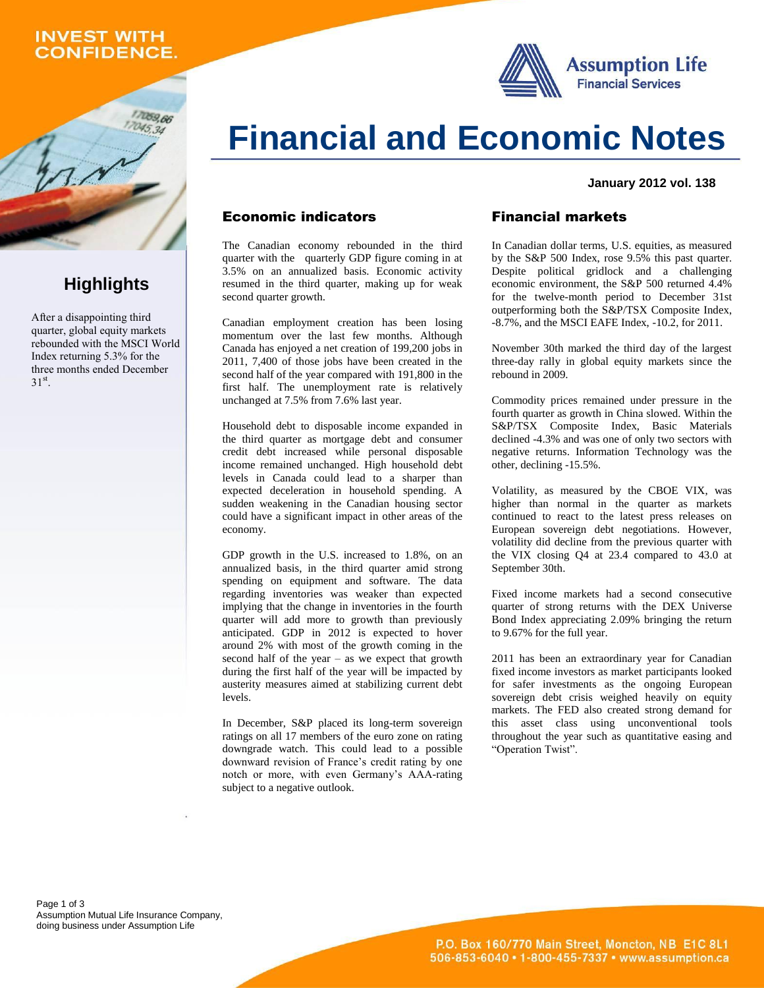## **INVEST WITH CONFIDENCE.**

059.66





#### **January 2012 vol. 138**

#### Economic indicators

The Canadian economy rebounded in the third quarter with the quarterly GDP figure coming in at 3.5% on an annualized basis. Economic activity resumed in the third quarter, making up for weak second quarter growth.

Canadian employment creation has been losing momentum over the last few months. Although Canada has enjoyed a net creation of 199,200 jobs in 2011, 7,400 of those jobs have been created in the second half of the year compared with 191,800 in the first half. The unemployment rate is relatively unchanged at 7.5% from 7.6% last year.

Household debt to disposable income expanded in the third quarter as mortgage debt and consumer credit debt increased while personal disposable income remained unchanged. High household debt levels in Canada could lead to a sharper than expected deceleration in household spending. A sudden weakening in the Canadian housing sector could have a significant impact in other areas of the economy.

GDP growth in the U.S. increased to 1.8%, on an annualized basis, in the third quarter amid strong spending on equipment and software. The data regarding inventories was weaker than expected implying that the change in inventories in the fourth quarter will add more to growth than previously anticipated. GDP in 2012 is expected to hover around 2% with most of the growth coming in the second half of the year – as we expect that growth during the first half of the year will be impacted by austerity measures aimed at stabilizing current debt levels.

In December, S&P placed its long-term sovereign ratings on all 17 members of the euro zone on rating downgrade watch. This could lead to a possible downward revision of France's credit rating by one notch or more, with even Germany's AAA-rating subject to a negative outlook.

#### Financial markets

In Canadian dollar terms, U.S. equities, as measured by the S&P 500 Index, rose 9.5% this past quarter. Despite political gridlock and a challenging economic environment, the S&P 500 returned 4.4% for the twelve-month period to December 31st outperforming both the S&P/TSX Composite Index, -8.7%, and the MSCI EAFE Index, -10.2, for 2011.

November 30th marked the third day of the largest three-day rally in global equity markets since the rebound in 2009.

Commodity prices remained under pressure in the fourth quarter as growth in China slowed. Within the S&P/TSX Composite Index, Basic Materials declined -4.3% and was one of only two sectors with negative returns. Information Technology was the other, declining -15.5%.

Volatility, as measured by the CBOE VIX, was higher than normal in the quarter as markets continued to react to the latest press releases on European sovereign debt negotiations. However, volatility did decline from the previous quarter with the VIX closing Q4 at 23.4 compared to 43.0 at September 30th.

Fixed income markets had a second consecutive quarter of strong returns with the DEX Universe Bond Index appreciating 2.09% bringing the return to 9.67% for the full year.

2011 has been an extraordinary year for Canadian fixed income investors as market participants looked for safer investments as the ongoing European sovereign debt crisis weighed heavily on equity markets. The FED also created strong demand for this asset class using unconventional tools throughout the year such as quantitative easing and "Operation Twist".

Page 1 of 3 Assumption Mutual Life Insurance Company, doing business under Assumption Life

## **Highlights**

After a disappointing third quarter, global equity markets rebounded with the MSCI World Index returning 5.3% for the three months ended December  $31<sup>st</sup>$ .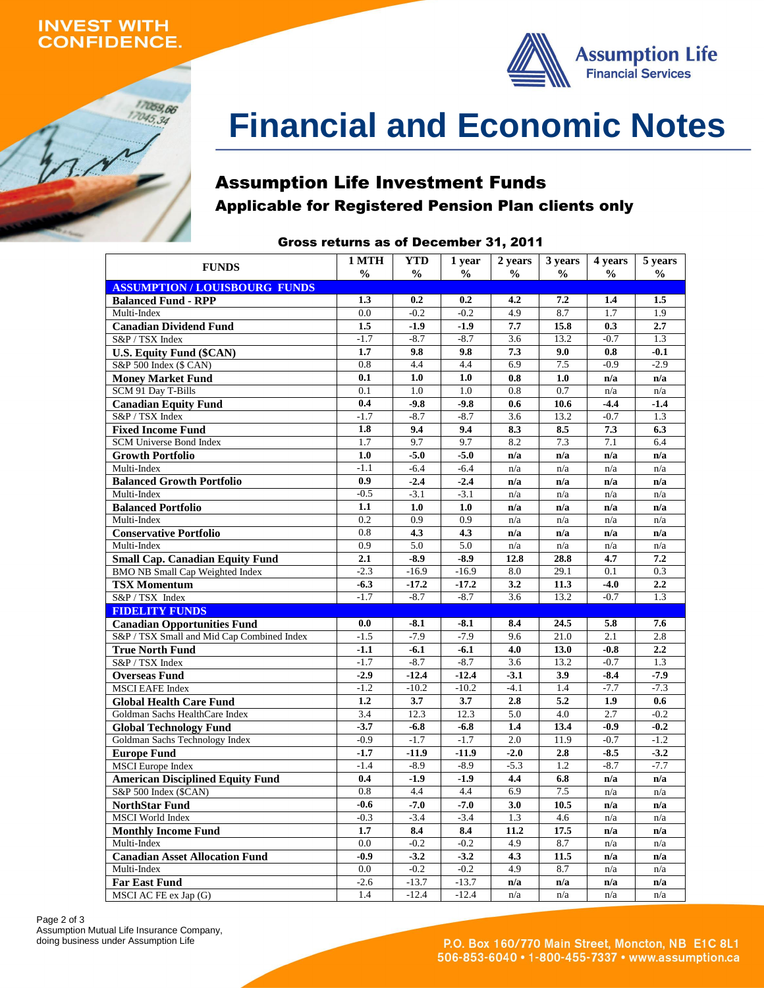## **INVEST WITH ONFIDENCE.**

17059,66  $17045,34$ 



# **Financial and Economic Notes**

## Assumption Life Investment Funds Applicable for Registered Pension Plan clients only

#### Gross returns as of December 31, 2011

| 1 MTH<br><b>YTD</b><br>2 years<br>3 years<br>1 year<br>4 years      |                  |                |                |                  |               |               |                          |  |  |  |
|---------------------------------------------------------------------|------------------|----------------|----------------|------------------|---------------|---------------|--------------------------|--|--|--|
| <b>FUNDS</b>                                                        | $\frac{6}{9}$    | $\frac{0}{0}$  | $\frac{0}{0}$  | $\frac{0}{0}$    | $\frac{0}{0}$ | $\frac{0}{0}$ | 5 years<br>$\frac{0}{0}$ |  |  |  |
| <b>ASSUMPTION/LOUISBOURG FUNDS</b>                                  |                  |                |                |                  |               |               |                          |  |  |  |
| <b>Balanced Fund - RPP</b>                                          | 1.3              | 0.2            | 0.2            | 4.2              | 7.2           | 1.4           | 1.5                      |  |  |  |
| Multi-Index                                                         | 0.0              | $-0.2$         | $-0.2$         | 4.9              | 8.7           | 1.7           | 1.9                      |  |  |  |
| <b>Canadian Dividend Fund</b>                                       | 1.5              | $-1.9$         | $-1.9$         | 7.7              | 15.8          | 0.3           | 2.7                      |  |  |  |
| S&P / TSX Index                                                     | $-1.7$           | $-8.7$         | $-8.7$         | 3.6              | 13.2          | $-0.7$        | 1.3                      |  |  |  |
| <b>U.S. Equity Fund (\$CAN)</b>                                     | 1.7              | 9.8            | 9.8            | 7.3              | 9.0           | 0.8           | $-0.1$                   |  |  |  |
| S&P 500 Index (\$ CAN)                                              | 0.8              | 4.4            | 4.4            | 6.9              | 7.5           | $-0.9$        | $-2.9$                   |  |  |  |
| <b>Money Market Fund</b>                                            | 0.1              | 1.0            | 1.0            | 0.8              | 1.0           | n/a           | n/a                      |  |  |  |
| SCM 91 Day T-Bills                                                  | $\overline{0.1}$ | 1.0            | 1.0            | 0.8              | 0.7           | n/a           | n/a                      |  |  |  |
| <b>Canadian Equity Fund</b>                                         | 0.4              | $-9.8$         | $-9.8$         | 0.6              | 10.6          | $-4.4$        | $-1.4$                   |  |  |  |
| S&P / TSX Index                                                     | $-1.7$           | $-8.7$         | $-8.7$         | 3.6              | 13.2          | $-0.7$        | 1.3                      |  |  |  |
| <b>Fixed Income Fund</b>                                            | 1.8              | 9.4            | 9.4            | 8.3              | 8.5           | 7.3           | 6.3                      |  |  |  |
| SCM Universe Bond Index                                             | 1.7              | 9.7            | 9.7            | 8.2              | 7.3           | 7.1           | 6.4                      |  |  |  |
| <b>Growth Portfolio</b>                                             | 1.0              | $-5.0$         | $-5.0$         | n/a              | n/a           | n/a           | n/a                      |  |  |  |
| Multi-Index                                                         | $-1.1$           | $-6.4$         | $-6.4$         | n/a              | n/a           | n/a           | n/a                      |  |  |  |
| <b>Balanced Growth Portfolio</b>                                    | 0.9              | $-2.4$         | $-2.4$         | n/a              | n/a           | n/a           | n/a                      |  |  |  |
| Multi-Index                                                         | $-0.5$           | $-3.1$         | $-3.1$         | n/a              | n/a           | n/a           | n/a                      |  |  |  |
| <b>Balanced Portfolio</b>                                           | 1.1              | 1.0            | 1.0            | n/a              | n/a           | n/a           | n/a                      |  |  |  |
| Multi-Index                                                         | 0.2              | 0.9            | 0.9            | n/a              | n/a           | n/a           | n/a                      |  |  |  |
| <b>Conservative Portfolio</b>                                       | 0.8              | 4.3            | 4.3            | n/a              | n/a           | n/a           | n/a                      |  |  |  |
| Multi-Index                                                         | 0.9              | 5.0            | 5.0            | n/a              | n/a           | n/a           | n/a                      |  |  |  |
| <b>Small Cap. Canadian Equity Fund</b>                              | 2.1              | $-8.9$         | $-8.9$         | 12.8             | 28.8          | 4.7           | 7.2                      |  |  |  |
| <b>BMO NB Small Cap Weighted Index</b>                              | $-2.3$           | $-16.9$        | $-16.9$        | 8.0              | 29.1          | 0.1           | 0.3                      |  |  |  |
| <b>TSX Momentum</b>                                                 | $-6.3$           | $-17.2$        | $-17.2$        | 3.2              | 11.3          | $-4.0$        | 2.2                      |  |  |  |
| S&P / TSX Index                                                     | $-1.7$           | $-8.7$         | $-8.7$         | 3.6              | 13.2          | $-0.7$        | 1.3                      |  |  |  |
| <b>FIDELITY FUNDS</b>                                               |                  |                |                |                  |               |               |                          |  |  |  |
| <b>Canadian Opportunities Fund</b>                                  | 0.0              | $-8.1$         | $-8.1$         | 8.4              | 24.5          | 5.8           | 7.6                      |  |  |  |
| S&P / TSX Small and Mid Cap Combined Index                          | $-1.5$           | $-7.9$         | $-7.9$         | 9.6              | 21.0          | 2.1           | 2.8                      |  |  |  |
| <b>True North Fund</b>                                              | $-1.1$           | $-6.1$         | $-6.1$         | 4.0              | 13.0          | $-0.8$        | 2.2                      |  |  |  |
| S&P / TSX Index                                                     | $-1.7$           | $-8.7$         | $-8.7$         | $\overline{3.6}$ | 13.2          | $-0.7$        | 1.3                      |  |  |  |
| <b>Overseas Fund</b>                                                | $-2.9$           | $-12.4$        | $-12.4$        | $-3.1$           | 3.9           | $-8.4$        | $-7.9$                   |  |  |  |
| <b>MSCI EAFE Index</b>                                              | $-1.2$           | $-10.2$        | $-10.2$        | $-4.1$           | 1.4           | $-7.7$        | $-7.3$                   |  |  |  |
| <b>Global Health Care Fund</b>                                      | 1.2              | 3.7            | 3.7            | 2.8              | 5.2           | 1.9           | 0.6                      |  |  |  |
| Goldman Sachs HealthCare Index                                      | 3.4<br>$-3.7$    | 12.3<br>$-6.8$ | 12.3<br>$-6.8$ | 5.0<br>1.4       | 4.0<br>13.4   | 2.7<br>$-0.9$ | $-0.2$<br>$-0.2$         |  |  |  |
| <b>Global Technology Fund</b>                                       | $-0.9$           | $-1.7$         | $-1.7$         | 2.0              | 11.9          | $-0.7$        | $-1.2$                   |  |  |  |
| Goldman Sachs Technology Index                                      | $-1.7$           | $-11.9$        | $-11.9$        | $-2.0$           | 2.8           | $-8.5$        | $-3.2$                   |  |  |  |
| <b>Europe Fund</b>                                                  | $-1.4$           | $-8.9$         | $-8.9$         | $-5.3$           | 1.2           | $-8.7$        | $-7.7$                   |  |  |  |
| <b>MSCI</b> Europe Index<br><b>American Disciplined Equity Fund</b> | 0.4              | $-1.9$         | $-1.9$         | 4.4              | 6.8           |               |                          |  |  |  |
| S&P 500 Index (\$CAN)                                               | 0.8              | 4.4            | 4.4            | 6.9              | 7.5           | n/a           | n/a                      |  |  |  |
| <b>NorthStar Fund</b>                                               | $-0.6$           | $-7.0$         | $-7.0$         | 3.0              | 10.5          | n/a<br>n/a    | n/a<br>n/a               |  |  |  |
| <b>MSCI</b> World Index                                             | $-0.3$           | $-3.4$         | $-3.4$         | 1.3              | 4.6           | n/a           | n/a                      |  |  |  |
| <b>Monthly Income Fund</b>                                          | 1.7              | 8.4            | 8.4            | 11.2             | 17.5          | n/a           | n/a                      |  |  |  |
| Multi-Index                                                         | 0.0              | $-0.2$         | $-0.2$         | 4.9              | 8.7           | n/a           | n/a                      |  |  |  |
| <b>Canadian Asset Allocation Fund</b>                               | $-0.9$           | $-3.2$         | $-3.2$         | 4.3              | 11.5          | n/a           | n/a                      |  |  |  |
| Multi-Index                                                         | 0.0              | $-0.2$         | $-0.2$         | 4.9              | 8.7           | n/a           | n/a                      |  |  |  |
| <b>Far East Fund</b>                                                | $-2.6$           | $-13.7$        | $-13.7$        | n/a              | n/a           | n/a           | n/a                      |  |  |  |
| MSCI AC FE ex Jap (G)                                               | 1.4              | $-12.4$        | $-12.4$        | n/a              | n/a           | n/a           | n/a                      |  |  |  |